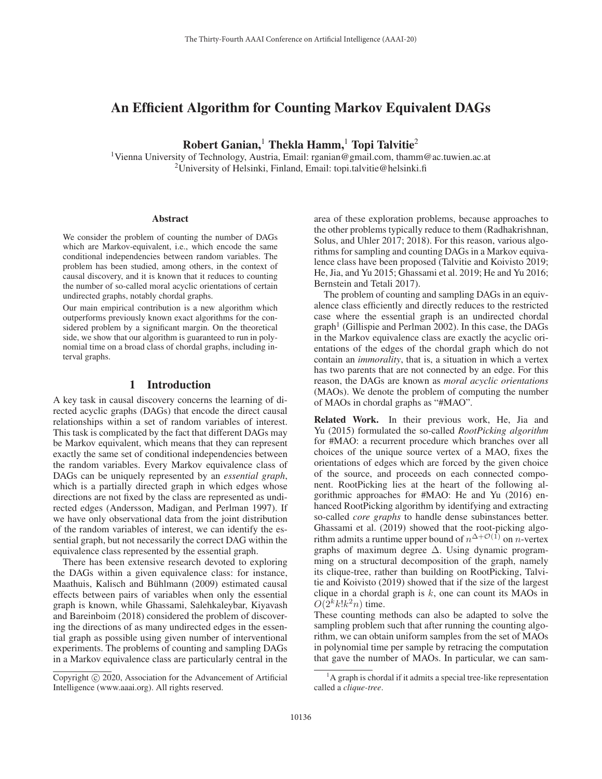# An Efficient Algorithm for Counting Markov Equivalent DAGs

Robert Ganian,<sup>1</sup> Thekla Hamm,<sup>1</sup> Topi Talvitie<sup>2</sup>

1Vienna University of Technology, Austria, Email: rganian@gmail.com, thamm@ac.tuwien.ac.at <sup>2</sup>University of Helsinki, Finland, Email: topi.talvitie@helsinki.fi

#### **Abstract**

We consider the problem of counting the number of DAGs which are Markov-equivalent, i.e., which encode the same conditional independencies between random variables. The problem has been studied, among others, in the context of causal discovery, and it is known that it reduces to counting the number of so-called moral acyclic orientations of certain undirected graphs, notably chordal graphs.

Our main empirical contribution is a new algorithm which outperforms previously known exact algorithms for the considered problem by a significant margin. On the theoretical side, we show that our algorithm is guaranteed to run in polynomial time on a broad class of chordal graphs, including interval graphs.

# 1 Introduction

A key task in causal discovery concerns the learning of directed acyclic graphs (DAGs) that encode the direct causal relationships within a set of random variables of interest. This task is complicated by the fact that different DAGs may be Markov equivalent, which means that they can represent exactly the same set of conditional independencies between the random variables. Every Markov equivalence class of DAGs can be uniquely represented by an *essential graph*, which is a partially directed graph in which edges whose directions are not fixed by the class are represented as undirected edges (Andersson, Madigan, and Perlman 1997). If we have only observational data from the joint distribution of the random variables of interest, we can identify the essential graph, but not necessarily the correct DAG within the equivalence class represented by the essential graph.

There has been extensive research devoted to exploring the DAGs within a given equivalence class: for instance, Maathuis, Kalisch and Bühlmann (2009) estimated causal effects between pairs of variables when only the essential graph is known, while Ghassami, Salehkaleybar, Kiyavash and Bareinboim (2018) considered the problem of discovering the directions of as many undirected edges in the essential graph as possible using given number of interventional experiments. The problems of counting and sampling DAGs in a Markov equivalence class are particularly central in the

area of these exploration problems, because approaches to the other problems typically reduce to them (Radhakrishnan, Solus, and Uhler 2017; 2018). For this reason, various algorithms for sampling and counting DAGs in a Markov equivalence class have been proposed (Talvitie and Koivisto 2019; He, Jia, and Yu 2015; Ghassami et al. 2019; He and Yu 2016; Bernstein and Tetali 2017).

The problem of counting and sampling DAGs in an equivalence class efficiently and directly reduces to the restricted case where the essential graph is an undirected chordal  $graph<sup>1</sup>$  (Gillispie and Perlman 2002). In this case, the DAGs in the Markov equivalence class are exactly the acyclic orientations of the edges of the chordal graph which do not contain an *immorality*, that is, a situation in which a vertex has two parents that are not connected by an edge. For this reason, the DAGs are known as *moral acyclic orientations* (MAOs). We denote the problem of computing the number of MAOs in chordal graphs as "#MAO".

Related Work. In their previous work, He, Jia and Yu (2015) formulated the so-called *RootPicking algorithm* for #MAO: a recurrent procedure which branches over all choices of the unique source vertex of a MAO, fixes the orientations of edges which are forced by the given choice of the source, and proceeds on each connected component. RootPicking lies at the heart of the following algorithmic approaches for #MAO: He and Yu (2016) enhanced RootPicking algorithm by identifying and extracting so-called *core graphs* to handle dense subinstances better. Ghassami et al. (2019) showed that the root-picking algorithm admits a runtime upper bound of  $n^{\Delta+O(1)}$  on n-vertex graphs of maximum degree  $\Delta$ . Using dynamic programming on a structural decomposition of the graph, namely its clique-tree, rather than building on RootPicking, Talvitie and Koivisto (2019) showed that if the size of the largest clique in a chordal graph is  $k$ , one can count its MAOs in  $O(2^k k! k^2 n)$  time.

These counting methods can also be adapted to solve the sampling problem such that after running the counting algorithm, we can obtain uniform samples from the set of MAOs in polynomial time per sample by retracing the computation that gave the number of MAOs. In particular, we can sam-

Copyright  $\odot$  2020, Association for the Advancement of Artificial Intelligence (www.aaai.org). All rights reserved.

<sup>&</sup>lt;sup>1</sup>A graph is chordal if it admits a special tree-like representation called a *clique-tree*.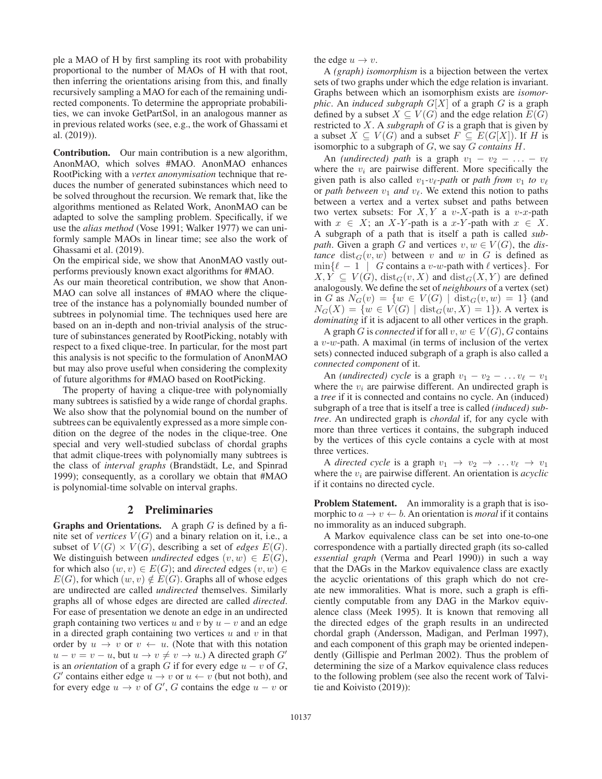ple a MAO of H by first sampling its root with probability proportional to the number of MAOs of H with that root, then inferring the orientations arising from this, and finally recursively sampling a MAO for each of the remaining undirected components. To determine the appropriate probabilities, we can invoke GetPartSol, in an analogous manner as in previous related works (see, e.g., the work of Ghassami et al. (2019)).

Contribution. Our main contribution is a new algorithm, AnonMAO, which solves #MAO. AnonMAO enhances RootPicking with a *vertex anonymisation* technique that reduces the number of generated subinstances which need to be solved throughout the recursion. We remark that, like the algorithms mentioned as Related Work, AnonMAO can be adapted to solve the sampling problem. Specifically, if we use the *alias method* (Vose 1991; Walker 1977) we can uniformly sample MAOs in linear time; see also the work of Ghassami et al. (2019).

On the empirical side, we show that AnonMAO vastly outperforms previously known exact algorithms for #MAO.

As our main theoretical contribution, we show that Anon-MAO can solve all instances of #MAO where the cliquetree of the instance has a polynomially bounded number of subtrees in polynomial time. The techniques used here are based on an in-depth and non-trivial analysis of the structure of subinstances generated by RootPicking, notably with respect to a fixed clique-tree. In particular, for the most part this analysis is not specific to the formulation of AnonMAO but may also prove useful when considering the complexity of future algorithms for #MAO based on RootPicking.

The property of having a clique-tree with polynomially many subtrees is satisfied by a wide range of chordal graphs. We also show that the polynomial bound on the number of subtrees can be equivalently expressed as a more simple condition on the degree of the nodes in the clique-tree. One special and very well-studied subclass of chordal graphs that admit clique-trees with polynomially many subtrees is the class of *interval graphs* (Brandstädt, Le, and Spinrad 1999); consequently, as a corollary we obtain that #MAO is polynomial-time solvable on interval graphs.

## 2 Preliminaries

**Graphs and Orientations.** A graph  $G$  is defined by a finite set of *vertices*  $V(G)$  and a binary relation on it, i.e., a subset of  $V(G) \times V(G)$ , describing a set of *edges*  $E(G)$ . We distinguish between *undirected* edges  $(v, w) \in E(G)$ , for which also  $(w, v) \in E(G)$ ; and *directed* edges  $(v, w) \in$  $E(G)$ , for which  $(w, v) \notin E(G)$ . Graphs all of whose edges are undirected are called *undirected* themselves. Similarly graphs all of whose edges are directed are called *directed*. For ease of presentation we denote an edge in an undirected graph containing two vertices u and v by  $u - v$  and an edge in a directed graph containing two vertices  $u$  and  $v$  in that order by  $u \to v$  or  $v \leftarrow u$ . (Note that with this notation  $u - v = v - u$ , but  $u \to v \neq v \to u$ .) A directed graph G' is an *orientation* of a graph G if for every edge  $u - v$  of G, G' contains either edge  $u \to v$  or  $u \leftarrow v$  (but not both), and for every edge  $u \to v$  of  $G'$ , G contains the edge  $u - v$  or

the edge  $u \rightarrow v$ .

A *(graph) isomorphism* is a bijection between the vertex sets of two graphs under which the edge relation is invariant. Graphs between which an isomorphism exists are *isomorphic.* An *induced subgraph*  $G[X]$  of a graph G is a graph defined by a subset  $X \subseteq V(G)$  and the edge relation  $E(G)$ restricted to X. A *subgraph* of G is a graph that is given by a subset  $X \subseteq V(G)$  and a subset  $F \subseteq E(G[X])$ . If H is isomorphic to a subgraph of G, we say G *contains* H.

An *(undirected)* path is a graph  $v_1 - v_2 - \ldots - v_\ell$ where the  $v_i$  are pairwise different. More specifically the given path is also called  $v_1$ - $v_\ell$ -path or path from  $v_1$  to  $v_\ell$ or *path between*  $v_1$  *and*  $v_\ell$ . We extend this notion to paths between a vertex and a vertex subset and paths between two vertex subsets: For  $X, Y$  a v-X-path is a v-x-path with  $x \in X$ ; an X-Y-path is a x-Y-path with  $x \in X$ . A subgraph of a path that is itself a path is called *subpath.* Given a graph G and vertices  $v, w \in V(G)$ , the dis*tance* dist<sub>G</sub> $(v, w)$  between v and w in G is defined as  $\min\{\ell-1 \mid G \text{ contains a } v-w\text{-path with } \ell \text{ vertices}\}.$  For  $X, Y \subseteq V(G)$ ,  $dist_G(v, X)$  and  $dist_G(X, Y)$  are defined analogously. We define the set of *neighbours* of a vertex (set) in G as  $N_G(v) = \{w \in V(G) \mid \text{dist}_G(v, w) = 1\}$  (and  $N_G(X) = \{w \in V(G) \mid \text{dist}_G(w, X) = 1\}$ ). A vertex is *dominating* if it is adjacent to all other vertices in the graph.

A graph G is *connected* if for all  $v, w \in V(G)$ , G contains a  $v-w$ -path. A maximal (in terms of inclusion of the vertex sets) connected induced subgraph of a graph is also called a *connected component* of it.

An *(undirected) cycle* is a graph  $v_1 - v_2 - \ldots v_\ell - v_1$ where the  $v_i$  are pairwise different. An undirected graph is a *tree* if it is connected and contains no cycle. An (induced) subgraph of a tree that is itself a tree is called *(induced) subtree*. An undirected graph is *chordal* if, for any cycle with more than three vertices it contains, the subgraph induced by the vertices of this cycle contains a cycle with at most three vertices.

A *directed cycle* is a graph  $v_1 \rightarrow v_2 \rightarrow \ldots v_\ell \rightarrow v_1$ where the  $v_i$  are pairwise different. An orientation is  $acyclic$ if it contains no directed cycle.

Problem Statement. An immorality is a graph that is isomorphic to  $a \to v \leftarrow b$ . An orientation is *moral* if it contains no immorality as an induced subgraph.

A Markov equivalence class can be set into one-to-one correspondence with a partially directed graph (its so-called *essential graph* (Verma and Pearl 1990)) in such a way that the DAGs in the Markov equivalence class are exactly the acyclic orientations of this graph which do not create new immoralities. What is more, such a graph is efficiently computable from any DAG in the Markov equivalence class (Meek 1995). It is known that removing all the directed edges of the graph results in an undirected chordal graph (Andersson, Madigan, and Perlman 1997), and each component of this graph may be oriented independently (Gillispie and Perlman 2002). Thus the problem of determining the size of a Markov equivalence class reduces to the following problem (see also the recent work of Talvitie and Koivisto (2019)):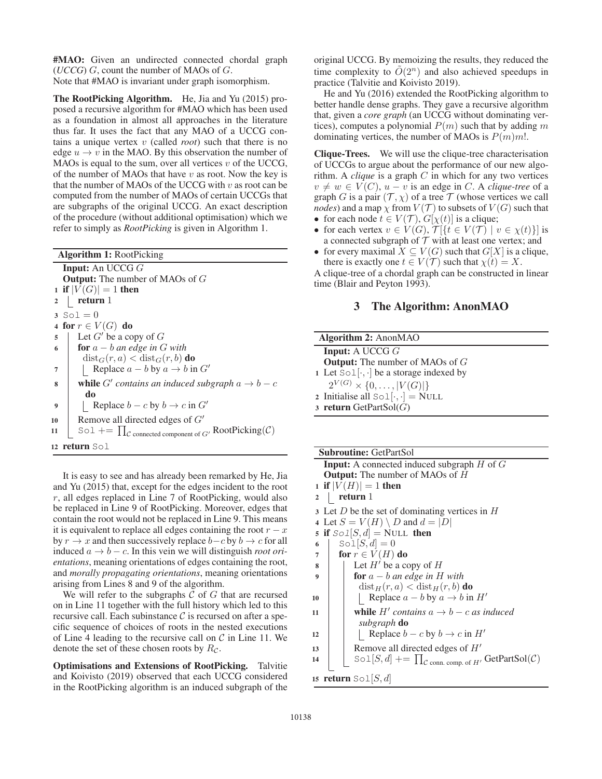#MAO: Given an undirected connected chordal graph (*UCCG*) G, count the number of MAOs of G. Note that #MAO is invariant under graph isomorphism.

The RootPicking Algorithm. He, Jia and Yu (2015) proposed a recursive algorithm for #MAO which has been used as a foundation in almost all approaches in the literature thus far. It uses the fact that any MAO of a UCCG contains a unique vertex v (called *root*) such that there is no edge  $u \to v$  in the MAO. By this observation the number of MAOs is equal to the sum, over all vertices  $v$  of the UCCG, of the number of MAOs that have  $v$  as root. Now the key is that the number of MAOs of the UCCG with  $v$  as root can be computed from the number of MAOs of certain UCCGs that are subgraphs of the original UCCG. An exact description of the procedure (without additional optimisation) which we refer to simply as *RootPicking* is given in Algorithm 1.

| <b>Algorithm 1: RootPicking</b>                                                             |  |  |
|---------------------------------------------------------------------------------------------|--|--|
| <b>Input:</b> An UCCG $G$                                                                   |  |  |
| <b>Output:</b> The number of MAOs of $G$                                                    |  |  |
| 1 if $ V(G)  = 1$ then                                                                      |  |  |
| return 1<br>$2 \mid$                                                                        |  |  |
| 3 $Sol = 0$                                                                                 |  |  |
| 4 for $r \in V(G)$ do                                                                       |  |  |
| Let $G'$ be a copy of $G$<br>5                                                              |  |  |
| <b>for</b> $a - b$ an edge in G with<br>6                                                   |  |  |
| $dist_G(r, a) < dist_G(r, b)$ do                                                            |  |  |
| Replace $a - b$ by $a \rightarrow b$ in $G'$<br>7                                           |  |  |
| <b>while</b> G' contains an induced subgraph $a \rightarrow b - c$<br>8                     |  |  |
| do                                                                                          |  |  |
| Replace $b - c$ by $b \rightarrow c$ in $G'$<br>9                                           |  |  |
| Remove all directed edges of $G'$<br>10                                                     |  |  |
| Sol += $\prod_{\mathcal{C}}$ connected component of $G'$ RootPicking( $\mathcal{C}$ )<br>11 |  |  |
| 12 <b>return</b> Sol                                                                        |  |  |

It is easy to see and has already been remarked by He, Jia and Yu (2015) that, except for the edges incident to the root r, all edges replaced in Line 7 of RootPicking, would also be replaced in Line 9 of RootPicking. Moreover, edges that contain the root would not be replaced in Line 9. This means it is equivalent to replace all edges containing the root  $r - x$ by  $r \to x$  and then successively replace  $b - c$  by  $b \to c$  for all induced a → b − c. In this vein we will distinguish *root orientations*, meaning orientations of edges containing the root, and *morally propagating orientations*, meaning orientations arising from Lines 8 and 9 of the algorithm.

We will refer to the subgraphs  $C$  of  $G$  that are recursed on in Line 11 together with the full history which led to this recursive call. Each subinstance  $C$  is recursed on after a specific sequence of choices of roots in the nested executions of Line 4 leading to the recursive call on  $C$  in Line 11. We denote the set of these chosen roots by  $R_{\mathcal{C}}$ .

Optimisations and Extensions of RootPicking. Talvitie and Koivisto (2019) observed that each UCCG considered in the RootPicking algorithm is an induced subgraph of the

original UCCG. By memoizing the results, they reduced the time complexity to  $\tilde{O}(2^n)$  and also achieved speedups in practice (Talvitie and Koivisto 2019).

He and Yu (2016) extended the RootPicking algorithm to better handle dense graphs. They gave a recursive algorithm that, given a *core graph* (an UCCG without dominating vertices), computes a polynomial  $P(m)$  such that by adding m dominating vertices, the number of MAOs is  $P(m)m!$ .

Clique-Trees. We will use the clique-tree characterisation of UCCGs to argue about the performance of our new algorithm. A *clique* is a graph C in which for any two vertices  $v \neq w \in V(C)$ ,  $u - v$  is an edge in C. A *clique-tree* of a graph G is a pair  $(\mathcal{T}, \chi)$  of a tree  $\mathcal T$  (whose vertices we call *nodes*) and a map  $\chi$  from  $V(\mathcal{T})$  to subsets of  $V(G)$  such that

- for each node  $t \in V(\mathcal{T})$ ,  $G[\chi(t)]$  is a clique;
- for each vertex  $v \in V(G)$ ,  $\mathcal{T}[\{t \in V(\mathcal{T}) \mid v \in \chi(t)\}]$  is a connected subgraph of  $T$  with at least one vertex; and
- for every maximal  $X \subseteq V(G)$  such that  $G[X]$  is a clique, there is exactly one  $t \in V(\mathcal{T})$  such that  $\chi(t) = X$ .

A clique-tree of a chordal graph can be constructed in linear time (Blair and Peyton 1993).

# 3 The Algorithm: AnonMAO

| <b>Algorithm 2: AnonMAO</b> |                                                           |  |
|-----------------------------|-----------------------------------------------------------|--|
|                             | <b>Input:</b> A UCCG $G$                                  |  |
|                             | <b>Output:</b> The number of MAOs of $G$                  |  |
|                             | 1 Let $Sol[\cdot, \cdot]$ be a storage indexed by         |  |
|                             | $2^{V(G)} \times \{0, \ldots,  V(G) \}$                   |  |
|                             | 2 Initialise all $\text{Sol}[\cdot, \cdot] = \text{NULL}$ |  |
|                             | 3 return GetPartSol $(G)$                                 |  |

|                         | <b>Subroutine: GetPartSol</b>                                                                                |
|-------------------------|--------------------------------------------------------------------------------------------------------------|
|                         | <b>Input:</b> A connected induced subgraph $H$ of $G$                                                        |
|                         | <b>Output:</b> The number of MAOs of H                                                                       |
|                         | 1 if $ V(H)  = 1$ then                                                                                       |
| $\overline{\mathbf{2}}$ | return 1                                                                                                     |
|                         | 3 Let D be the set of dominating vertices in $H$                                                             |
|                         | 4 Let $S = V(H) \setminus D$ and $d =  D $                                                                   |
|                         | 5 if $Sol[S, d] = NULL$ then                                                                                 |
| 6                       | $\text{Sol}[S,d]=0$                                                                                          |
| 7                       | for $r \in V(H)$ do                                                                                          |
| 8                       | Let $H'$ be a copy of $H$                                                                                    |
| 9                       | <b>for</b> $a - b$ an edge in H with                                                                         |
|                         | $dist_H(r, a) < dist_H(r, b)$ do                                                                             |
| 10                      | Replace $a - b$ by $a \rightarrow b$ in H'                                                                   |
| 11                      | while H' contains $a \rightarrow b - c$ as induced                                                           |
|                         | subgraph <b>do</b>                                                                                           |
| 12                      | Replace $b - c$ by $b \rightarrow c$ in $H'$                                                                 |
| 13                      | Remove all directed edges of $H'$                                                                            |
| 14                      | $\text{Sol}[S, d] \rightarrow \prod_{\mathcal{C} \text{ conn. comp. of } H'} \text{GetPartSol}(\mathcal{C})$ |
|                         | 15 return $\text{Sol}[S,d]$                                                                                  |
|                         |                                                                                                              |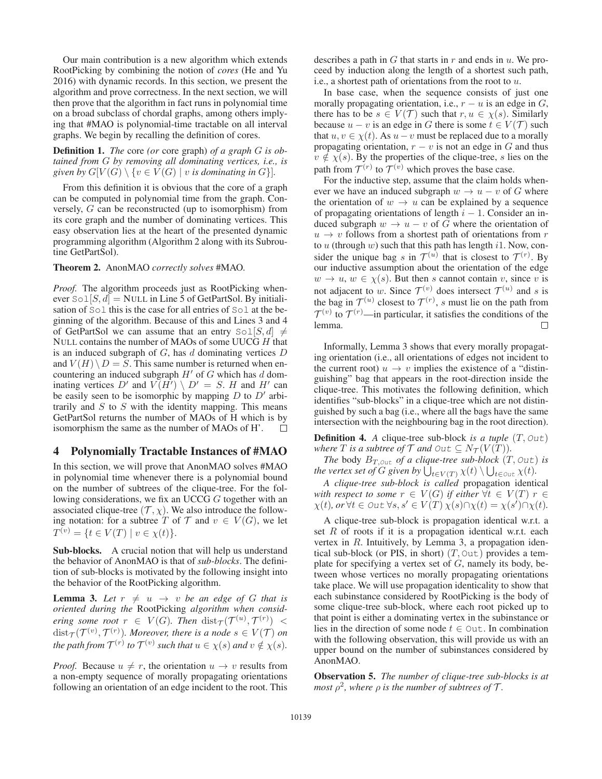Our main contribution is a new algorithm which extends RootPicking by combining the notion of *cores* (He and Yu 2016) with dynamic records. In this section, we present the algorithm and prove correctness. In the next section, we will then prove that the algorithm in fact runs in polynomial time on a broad subclass of chordal graphs, among others implying that #MAO is polynomial-time tractable on all interval graphs. We begin by recalling the definition of cores.

Definition 1. *The* core *(or* core graph) *of a graph* G *is obtained from* G *by removing all dominating vertices, i.e., is given by*  $G[V(G) \setminus \{v \in V(G) \mid v \text{ is dominating in } G\}].$ 

From this definition it is obvious that the core of a graph can be computed in polynomial time from the graph. Conversely, G can be reconstructed (up to isomorphism) from its core graph and the number of dominating vertices. This easy observation lies at the heart of the presented dynamic programming algorithm (Algorithm 2 along with its Subroutine GetPartSol).

## Theorem 2. AnonMAO *correctly solves* #MAO*.*

*Proof.* The algorithm proceeds just as RootPicking whenever  $\text{Sol}[S, d] = \text{NULL}$  in Line 5 of GetPartSol. By initialisation of Sol this is the case for all entries of Sol at the beginning of the algorithm. Because of this and Lines 3 and 4 of GetPartSol we can assume that an entry  $\text{Sol}[S, d] \neq$ NULL contains the number of MAOs of some UUCG H that is an induced subgraph of  $G$ , has  $d$  dominating vertices  $D$ and  $V(H) \backslash D = S$ . This same number is returned when encountering an induced subgraph  $H'$  of  $G$  which has  $d$  dominating vertices D' and  $V(H') \setminus D' = S$ . H and H' can be easily seen to be isomorphic by mapping  $D$  to  $D'$  arbitrarily and  $S$  to  $S$  with the identity mapping. This means GetPartSol returns the number of MAOs of H which is by isomorphism the same as the number of MAOs of H'.

## 4 Polynomially Tractable Instances of #MAO

In this section, we will prove that AnonMAO solves #MAO in polynomial time whenever there is a polynomial bound on the number of subtrees of the clique-tree. For the following considerations, we fix an UCCG G together with an associated clique-tree  $(\mathcal{T}, \chi)$ . We also introduce the following notation: for a subtree T of T and  $v \in V(G)$ , we let  $T^{(v)} = \{t \in V(T) \mid v \in \chi(t)\}.$ 

Sub-blocks. A crucial notion that will help us understand the behavior of AnonMAO is that of *sub-blocks*. The definition of sub-blocks is motivated by the following insight into the behavior of the RootPicking algorithm.

**Lemma 3.** Let  $r \neq u \rightarrow v$  be an edge of G that is *oriented during the* RootPicking *algorithm when considering some root*  $r \in V(G)$ *. Then*  $dist_\mathcal{T}(\mathcal{T}^{(u)}, \mathcal{T}^{(r)})$  <  $dist_{\mathcal{T}}(\mathcal{T}^{(v)}, \mathcal{T}^{(r)})$ *. Moreover, there is a node*  $s \in V(\mathcal{T})$  *on the path from*  $\mathcal{T}^{(r)}$  *to*  $\mathcal{T}^{(v)}$  *such that*  $u \in \chi(s)$  *and*  $v \notin \chi(s)$ *.* 

*Proof.* Because  $u \neq r$ , the orientation  $u \to v$  results from a non-empty sequence of morally propagating orientations following an orientation of an edge incident to the root. This describes a path in  $G$  that starts in  $r$  and ends in  $u$ . We proceed by induction along the length of a shortest such path, i.e., a shortest path of orientations from the root to u.

In base case, when the sequence consists of just one morally propagating orientation, i.e.,  $r - u$  is an edge in  $G$ , there has to be  $s \in V(\mathcal{T})$  such that  $r, u \in \chi(s)$ . Similarly because  $u - v$  is an edge in G there is some  $t \in V(\mathcal{T})$  such that  $u, v \in \chi(t)$ . As  $u - v$  must be replaced due to a morally propagating orientation,  $r - v$  is not an edge in G and thus  $v \notin \chi(s)$ . By the properties of the clique-tree, s lies on the path from  $\mathcal{T}^{(r)}$  to  $\mathcal{T}^{(v)}$  which proves the base case.

For the inductive step, assume that the claim holds whenever we have an induced subgraph  $w \to u - v$  of G where the orientation of  $w \to u$  can be explained by a sequence of propagating orientations of length  $i - 1$ . Consider an induced subgraph  $w \to u - v$  of G where the orientation of  $u \rightarrow v$  follows from a shortest path of orientations from r to  $u$  (through  $w$ ) such that this path has length i1. Now, consider the unique bag s in  $\mathcal{T}^{(u)}$  that is closest to  $\mathcal{T}^{(r)}$ . By our inductive assumption about the orientation of the edge  $w \to u$ ,  $w \in \chi(s)$ . But then s cannot contain v, since v is not adjacent to w. Since  $\mathcal{T}^{(v)}$  does intersect  $\mathcal{T}^{(u)}$  and s is the bag in  $\mathcal{T}^{(u)}$  closest to  $\mathcal{T}^{(r)}$ , s must lie on the path from  $\mathcal{T}^{(v)}$  to  $\mathcal{T}^{(r)}$  —in particular, it satisfies the conditions of the lemma.

Informally, Lemma 3 shows that every morally propagating orientation (i.e., all orientations of edges not incident to the current root)  $u \to v$  implies the existence of a "distinguishing" bag that appears in the root-direction inside the clique-tree. This motivates the following definition, which identifies "sub-blocks" in a clique-tree which are not distinguished by such a bag (i.e., where all the bags have the same intersection with the neighbouring bag in the root direction).

Definition 4. *A* clique-tree sub-block *is a tuple* (T, Out) *where T is a subtree of*  $\mathcal{T}$  *and*  $\circ$ ut  $\subseteq N_{\mathcal{T}}(V(T))$ *.* 

*The* body  $B_{T, \text{Out}}$  *of a clique-tree sub-block*  $(T, \text{Out})$  *is the vertex set of*  $G$  *given by*  $\bigcup_{t \in V(T)} \chi(t) \setminus \bigcup_{t \in out} \chi(t)$ .

*A clique-tree sub-block is called* propagation identical *with respect to some*  $r \in V(G)$  *if either*  $\forall t \in V(T)$   $r \in$  $\chi(t)$ , or  $\forall t \in \partial$ ut  $\forall s, s' \in V(T)$   $\chi(s) \cap \chi(t) = \chi(s') \cap \chi(t)$ .

A clique-tree sub-block is propagation identical w.r.t. a set  $R$  of roots if it is a propagation identical w.r.t. each vertex in R. Intuitively, by Lemma 3, a propagation identical sub-block (or PIS, in short)  $(T, Out)$  provides a template for specifying a vertex set of  $G$ , namely its body, between whose vertices no morally propagating orientations take place. We will use propagation identicality to show that each subinstance considered by RootPicking is the body of some clique-tree sub-block, where each root picked up to that point is either a dominating vertex in the subinstance or lies in the direction of some node  $t \in \text{Out}$ . In combination with the following observation, this will provide us with an upper bound on the number of subinstances considered by AnonMAO.

Observation 5. *The number of clique-tree sub-blocks is at most*  $\rho^2$ *, where*  $\rho$  *is the number of subtrees of*  $\mathcal{T}$ *.*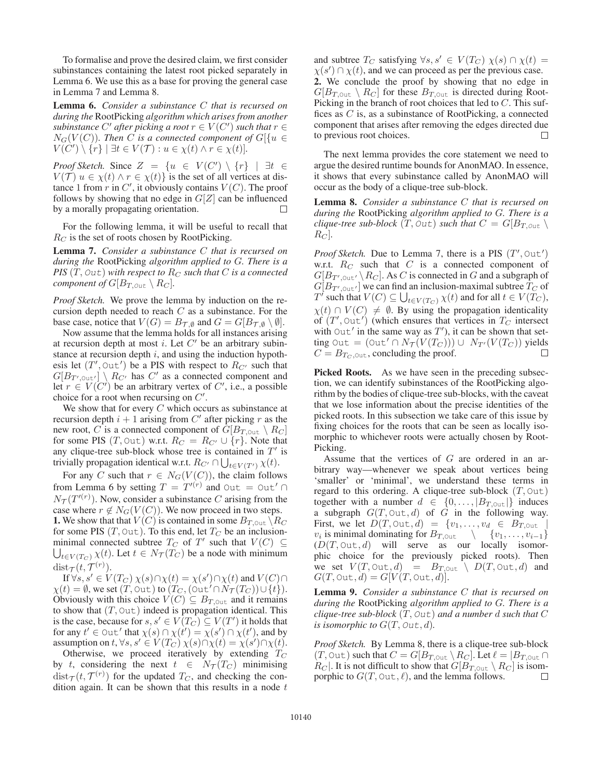To formalise and prove the desired claim, we first consider subinstances containing the latest root picked separately in Lemma 6. We use this as a base for proving the general case in Lemma 7 and Lemma 8.

Lemma 6. *Consider a subinstance* C *that is recursed on during the* RootPicking *algorithm which arises from another*  $s$ ubinstance  $C'$  after picking a root  $r \in V(C')$  such that  $r \in$  $N_G(V(C))$ *. Then* C *is a connected component of*  $G[\{u \in$  $V(\widetilde{C}') \setminus {\widetilde{r}} \mid \exists t \in V(\mathcal{T}) : u \in \chi(t) \wedge r \in \chi(t)$ .

*Proof Sketch.* Since  $Z = \{u \in V(C') \setminus \{r\} \mid \exists t \in$  $V(\mathcal{T})$   $u \in \chi(t) \wedge r \in \chi(t)$  is the set of all vertices at distance 1 from r in C', it obviously contains  $V(C)$ . The proof follows by showing that no edge in  $G[Z]$  can be influenced by a morally propagating orientation.  $\Box$ 

For the following lemma, it will be useful to recall that  $R_C$  is the set of roots chosen by RootPicking.

Lemma 7. *Consider a subinstance* C *that is recursed on during the* RootPicking *algorithm applied to* G*. There is a PIS*  $(T, Out)$  *with respect to*  $R_C$  *such that*  $C$  *is a connected component of*  $G[B_{T, \text{Out}} \setminus R_C]$ *.* 

*Proof Sketch.* We prove the lemma by induction on the recursion depth needed to reach  $C$  as a subinstance. For the base case, notice that  $V(G) = B_{\mathcal{T}, \emptyset}$  and  $G = G[B_{\mathcal{T}, \emptyset} \setminus \emptyset].$ 

Now assume that the lemma holds for all instances arising at recursion depth at most *i*. Let  $C'$  be an arbitrary subinstance at recursion depth  $i$ , and using the induction hypothesis let  $(T', \text{Out}')$  be a PIS with respect to  $R_{C'}$  such that  $G[B_{T',\text{out}'}] \setminus R_{C'}$  has C' as a connected component and let  $r \in V(C')$  be an arbitrary vertex of C', i.e., a possible choice for a root when recursing on  $C'$ .

We show that for every  $C$  which occurs as subinstance at recursion depth  $i + 1$  arising from C' after picking r as the new root, C is a connected component of  $G[B_{T, \text{Out}} \setminus R_C]$ for some PIS  $(T, \text{Out})$  w.r.t.  $R_C = R_{C'} \cup \{r\}$ . Note that any clique-tree sub-block whose tree is contained in  $T'$  is trivially propagation identical w.r.t.  $R_{C'} \cap \bigcup_{t \in V(T')} \chi(t)$ .

For any C such that  $r \in N_G(V(C))$ , the claim follows from Lemma 6 by setting  $T = T^{(r)}$  and Out = Out'  $N_{\mathcal{T}}(T'^{(r)})$ . Now, consider a subinstance C arising from the case where  $r \notin N_G(V(C))$ . We now proceed in two steps. **1.** We show that that  $V(C)$  is contained in some  $B_{T, \text{Out}} \setminus R_C$ for some PIS  $(T, \text{Out})$ . To this end, let  $T_C$  be an inclusionminimal connected subtree  $T_C$  of  $T'$  such that  $V(C) \subseteq$  $\bigcup_{t \in V(T_C)} \chi(t)$ . Let  $t \in N_{\mathcal{T}}(\tilde{T_C})$  be a node with minimum  $\text{dist}_{\mathcal{T}}(t, \mathcal{T}^{(r)})$ .

If  $\forall s, s' \in V(T_C) \chi(s) \cap \chi(t) = \chi(s') \cap \chi(t)$  and  $V(C) \cap$  $\chi(t) = \emptyset$ , we set  $(T, \text{Out})$  to  $(T_C, (\text{Out}' \cap \hat{N}_T(T_C)) \cup \{t\}).$ Obviously with this choice  $V(C) \subseteq B_{T, \text{Out}}$  and it remains to show that  $(T, \text{Out})$  indeed is propagation identical. This is the case, because for  $s, s' \in V(T_C) \subseteq V(T')$  it holds that for any  $t' \in$  Out' that  $\chi(s) \cap \chi(t') = \chi(s') \cap \chi(t')$ , and by assumption on t,  $\forall s, s' \in V(T_C) \chi(s) \cap \chi(t) = \chi(s') \cap \chi(t)$ .

Otherwise, we proceed iteratively by extending  $T_C$ by t, considering the next  $t \in N_{\mathcal{T}}(T_C)$  minimising  $dist_\mathcal{T}(t, \mathcal{T}^{(r)})$  for the updated  $T_C$ , and checking the condition again. It can be shown that this results in a node  $t$ 

and subtree  $T_C$  satisfying  $\forall s, s' \in V(T_C) \chi(s) \cap \chi(t) =$  $\chi(s') \cap \chi(t)$ , and we can proceed as per the previous case. 2. We conclude the proof by showing that no edge in  $G[B_{T, \text{Out}} \setminus R_C]$  for these  $B_{T, \text{Out}}$  is directed during Root-Picking in the branch of root choices that led to C. This suffices as C is, as a subinstance of RootPicking, a connected component that arises after removing the edges directed due to previous root choices. П

The next lemma provides the core statement we need to argue the desired runtime bounds for AnonMAO. In essence, it shows that every subinstance called by AnonMAO will occur as the body of a clique-tree sub-block.

Lemma 8. *Consider a subinstance* C *that is recursed on during the* RootPicking *algorithm applied to* G*. There is a clique-tree sub-block*  $(T, \text{Out})$  *such that*  $C = G[B_{T, \text{Out}} \setminus$  $R_C$ .

*Proof Sketch.* Due to Lemma 7, there is a PIS  $(T', Out')$ w.r.t.  $R_C$  such that  $C$  is a connected component of  $G[B_{T',\text{out}}\setminus R_C]$ . As C is connected in G and a subgraph of  $G[B_{T',\text{out}}]$  we can find an inclusion-maximal subtree  $T_C$  of  $T'$  such that  $V(C) \subseteq \bigcup_{t \in V(T_C)} \chi(t)$  and for all  $t \in V(T_C)$ ,  $\chi(t) \cap V(C) \neq \emptyset$ . By using the propagation identicality of  $(T', \text{Out}')$  (which ensures that vertices in  $T_C$  intersect with  $Out'$  in the same way as  $T'$ ), it can be shown that setting Out =  $($ Out'  $\cap N_{\mathcal{T}}(V(T_C))) \cup N_{T'}(V(T_C))$  yields  $C = B_{T_C, \text{Out}}$ , concluding the proof. П

Picked Roots. As we have seen in the preceding subsection, we can identify subinstances of the RootPicking algorithm by the bodies of clique-tree sub-blocks, with the caveat that we lose information about the precise identities of the picked roots. In this subsection we take care of this issue by fixing choices for the roots that can be seen as locally isomorphic to whichever roots were actually chosen by Root-Picking.

Assume that the vertices of  $G$  are ordered in an arbitrary way—whenever we speak about vertices being 'smaller' or 'minimal', we understand these terms in regard to this ordering. A clique-tree sub-block  $(T, Out)$ together with a number  $d \in \{0, \ldots, |B_{T, \text{Out}}|\}$  induces a subgraph  $G(T, \text{Out}, d)$  of  $\tilde{G}$  in the following way. First, we let  $D(T, \text{Out}, d) = \{v_1, \ldots, v_d \in B_{T, \text{Out}}\}$ v<sub>i</sub> is minimal dominating for  $B_{T,\text{out}} \qquad \{v_1,\ldots,v_{i-1}\}$ <br>  $(D(T,\text{Out},d)$  will serve as our locally isomorphic choice for the previously picked roots). Then we set  $V(T, \text{Out}, d) = B_{T, \text{Out}} \setminus D(T, \text{Out}, d)$  and  $G(T, \text{Out}, d) = G[V(T, \text{Out}, d)].$ 

Lemma 9. *Consider a subinstance* C *that is recursed on during the* RootPicking *algorithm applied to* G*. There is a clique-tree sub-block* (T, Out) *and a number* d *such that* C *is isomorphic to*  $G(T, Out, d)$ *.* 

*Proof Sketch.* By Lemma 8, there is a clique-tree sub-block  $(T, \text{Out})$  such that  $C = G[B_{T, \text{Out}} \setminus R_C]$ . Let  $\ell = |B_{T, \text{Out}} \cap R_C|$  $R_C$ . It is not difficult to show that  $G[B_{T, \text{Out}} \setminus R_C]$  is isomporphic to  $G(T, \text{Out}, \ell)$ , and the lemma follows.  $\Box$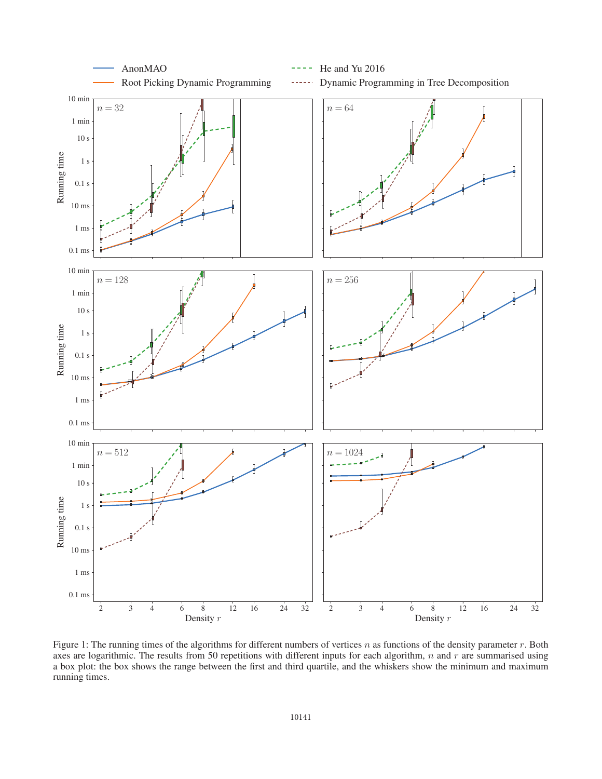

Figure 1: The running times of the algorithms for different numbers of vertices n as functions of the density parameter r. Both axes are logarithmic. The results from 50 repetitions with different inputs for each algorithm,  $n$  and  $r$  are summarised using a box plot: the box shows the range between the first and third quartile, and the whiskers show the minimum and maximum running times.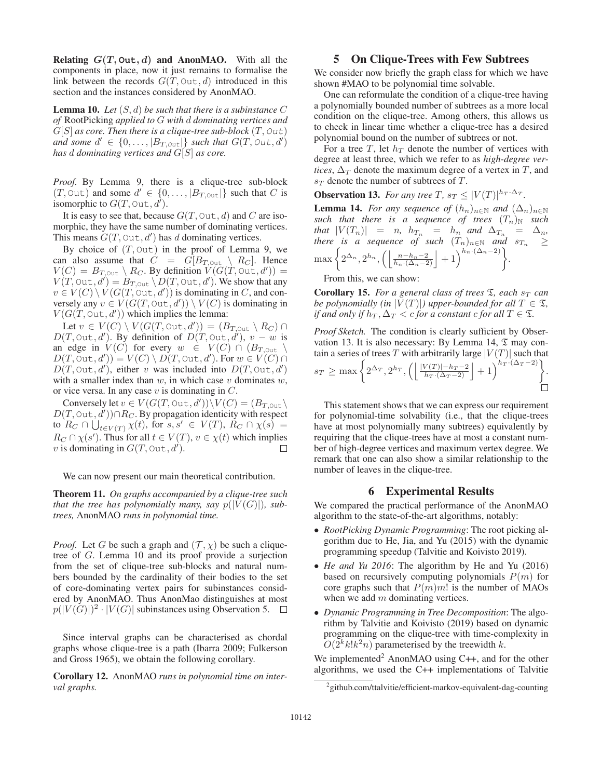**Relating**  $G(T, \text{Out}, d)$  **and AnonMAO.** With all the components in place, now it just remains to formalise the link between the records  $G(T, \text{Out}, d)$  introduced in this section and the instances considered by AnonMAO.

Lemma 10. *Let* (S, d) *be such that there is a subinstance* C *of* RootPicking *applied to* G *with* d *dominating vertices and*  $G[S]$  *as core. Then there is a clique-tree sub-block*  $(T, Out)$ and some  $d' \in \{0, \ldots, |B_{T, \text{Out}}|\}$  such that  $G(T, \text{Out}, d')$ *has* d *dominating vertices and* G[S] *as core.*

*Proof.* By Lemma 9, there is a clique-tree sub-block  $(T, \text{Out})$  and some  $d' \in \{0, \ldots, |B_{T, \text{Out}}|\}$  such that C is isomorphic to  $G(T, \text{Out}, d)$ .

It is easy to see that, because  $G(T, \text{Out}, d)$  and C are isomorphic, they have the same number of dominating vertices. This means  $G(T, \text{Out}, d')$  has d dominating vertices.

By choice of  $(T, Out)$  in the proof of Lemma 9, we can also assume that  $C = G[B_{T, \text{Out}} \setminus R_C]$ . Hence  $V(C) = B_{T, \text{Out}} \setminus R_C$ . By definition  $V(G(T, \text{Out}, d')) =$  $V(T, \text{Out}, d') = B_{T, \text{Out}} \setminus D(T, \text{Out}, d')$ . We show that any  $v \in V(C) \setminus V(G(T, \text{Out}, d'))$  is dominating in C, and conversely any  $v \in V(G(T, \text{Out}, d')) \setminus V(C)$  is dominating in  $V(G(T, \text{Out}, d'))$  which implies the lemma:

Let  $v \in V(C) \setminus V(G(T, \text{Out}, d')) = (B_{T, \text{Out}} \setminus R_C) \cap$  $D(T, \text{Out}, d')$ . By definition of  $D(T, \text{Out}, d')$ ,  $v - w$  is an edge in  $V(C)$  for every  $w \in V(C) \cap (B_{T, \text{Out}})$  $D(T, \text{Out}, d')) = V(C) \setminus D(T, \text{Out}, d')$ . For  $w \in V(C) \cap$  $D(T, \text{Out}, d')$ , either v was included into  $D(T, \text{Out}, d')$ with a smaller index than  $w$ , in which case  $v$  dominates  $w$ , or vice versa. In any case  $v$  is dominating in  $C$ .

Conversely let  $v \in V(G(T, \text{Out}, d')) \setminus V(C) = (B_{T, \text{Out}})$  $D(T, \text{Out}, \overrightarrow{d}') \cap R_C$ . By propagation identicity with respect to  $R_C \cap \bigcup_{t \in V(T)} \chi(t)$ , for  $s, s' \in V(T)$ ,  $R_C \cap \chi(s) =$  $R_C \cap \chi(s')$ . Thus for all  $t \in V(T)$ ,  $v \in \chi(t)$  which implies v is dominating in  $G(T, \text{Out}, d)$ . П

We can now present our main theoretical contribution.

Theorem 11. *On graphs accompanied by a clique-tree such that the tree has polynomially many, say*  $p(|V(G)|)$ *, subtrees,* AnonMAO *runs in polynomial time.*

*Proof.* Let G be such a graph and  $(\mathcal{T}, \chi)$  be such a cliquetree of G. Lemma 10 and its proof provide a surjection from the set of clique-tree sub-blocks and natural numbers bounded by the cardinality of their bodies to the set of core-dominating vertex pairs for subinstances considered by AnonMAO. Thus AnonMao distinguishes at most  $p(|V(G)|)^2 \cdot |V(G)|$  subinstances using Observation 5.  $\Box$ 

Since interval graphs can be characterised as chordal graphs whose clique-tree is a path (Ibarra 2009; Fulkerson and Gross 1965), we obtain the following corollary.

Corollary 12. AnonMAO *runs in polynomial time on interval graphs.*

#### 5 On Clique-Trees with Few Subtrees

We consider now briefly the graph class for which we have shown #MAO to be polynomial time solvable.

One can reformulate the condition of a clique-tree having a polynomially bounded number of subtrees as a more local condition on the clique-tree. Among others, this allows us to check in linear time whether a clique-tree has a desired polynomial bound on the number of subtrees or not.

For a tree T, let  $h_T$  denote the number of vertices with degree at least three, which we refer to as *high-degree vertices*,  $\Delta_T$  denote the maximum degree of a vertex in T, and  $s_T$  denote the number of subtrees of T.

**Observation 13.** For any tree T,  $s_T \leq |V(T)|^{h_T \cdot \Delta_T}$ .

**Lemma 14.** *For any sequence of*  $(h_n)_{n \in \mathbb{N}}$  *and*  $(\Delta_n)_{n \in \mathbb{N}}$ *such that there is a sequence of trees*  $(T_n)$  *such that*  $|V(T_n)| = n$ ,  $h_{T_n} = h_n$  *and*  $\Delta_{T_n} = \Delta_n$ , *there is a sequence of such*  $(T_n)_{n\in\mathbb{N}}$  *and*  $s_{T_n} \geq$  $\max\left\{2^{\Delta_n}, 2^{h_n}, \left(\left\lfloor\frac{n-h_n-2}{h_n\cdot(\Delta_n-2)}\right\rfloor+1\right)^{h_n\cdot(\Delta_n-2)}\right\}.$ 

From this, we can show:

**Corollary 15.** For a general class of trees  $\mathfrak{T}$ , each  $s_T$  can *be polynomially (in*  $|V(T)|$ *) upper-bounded for all*  $T \in \mathcal{I}$ *, if and only if*  $h_T, \Delta_T < c$  *for a constant*  $c$  *for all*  $T \in \mathcal{I}$ *.* 

*Proof Sketch.* The condition is clearly sufficient by Observation 13. It is also necessary: By Lemma 14,  $\mathfrak T$  may contain a series of trees T with arbitrarily large  $|V(T)|$  such that  $s_T \ge \max\left\{2^{\Delta_T}, 2^{h_T}, \left(\left\lfloor\frac{|V(T)| - h_T - 2}{h_T \cdot (\Delta_T - 2)}\right\rfloor + 1\right)^{h_T \cdot (\Delta_T - 2)}\right\}$ .

This statement shows that we can express our requirement for polynomial-time solvability (i.e., that the clique-trees have at most polynomially many subtrees) equivalently by requiring that the clique-trees have at most a constant number of high-degree vertices and maximum vertex degree. We remark that one can also show a similar relationship to the number of leaves in the clique-tree.

#### 6 Experimental Results

We compared the practical performance of the AnonMAO algorithm to the state-of-the-art algorithms, notably:

- *RootPicking Dynamic Programming*: The root picking algorithm due to He, Jia, and Yu (2015) with the dynamic programming speedup (Talvitie and Koivisto 2019).
- *He and Yu 2016*: The algorithm by He and Yu (2016) based on recursively computing polynomials  $P(m)$  for core graphs such that  $P(m)m!$  is the number of MAOs when we add  $m$  dominating vertices.
- *Dynamic Programming in Tree Decomposition*: The algorithm by Talvitie and Koivisto (2019) based on dynamic programming on the clique-tree with time-complexity in  $O(2^k k! k^2 n)$  parameterised by the treewidth k.

We implemented<sup>2</sup> AnonMAO using C++, and for the other algorithms, we used the C++ implementations of Talvitie

<sup>&</sup>lt;sup>2</sup> github.com/ttalvitie/efficient-markov-equivalent-dag-counting